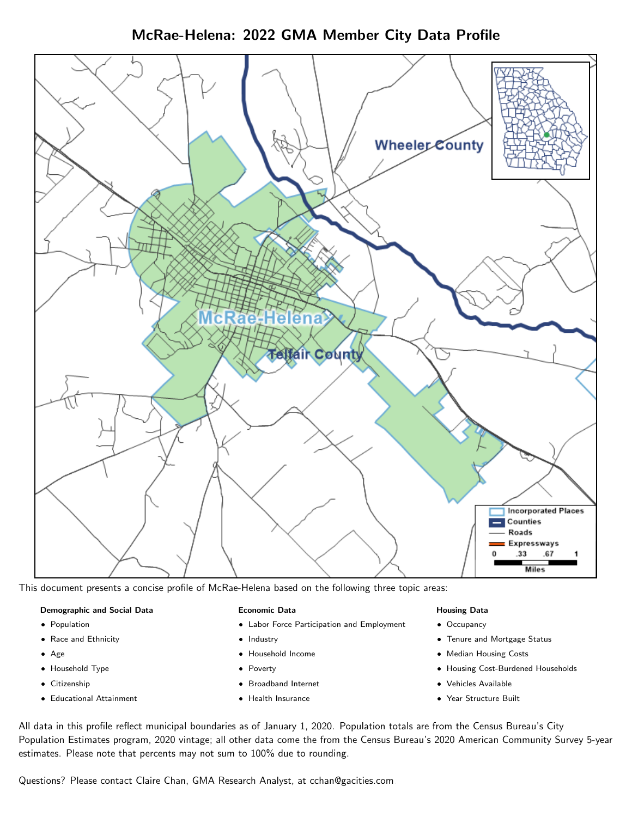McRae-Helena: 2022 GMA Member City Data Profile



This document presents a concise profile of McRae-Helena based on the following three topic areas:

#### Demographic and Social Data

- **•** Population
- Race and Ethnicity
- Age
- Household Type
- **Citizenship**
- Educational Attainment

#### Economic Data

- Labor Force Participation and Employment
- Industry
- Household Income
- Poverty
- Broadband Internet
- Health Insurance

#### Housing Data

- Occupancy
- Tenure and Mortgage Status
- Median Housing Costs
- Housing Cost-Burdened Households
- Vehicles Available
- Year Structure Built

All data in this profile reflect municipal boundaries as of January 1, 2020. Population totals are from the Census Bureau's City Population Estimates program, 2020 vintage; all other data come the from the Census Bureau's 2020 American Community Survey 5-year estimates. Please note that percents may not sum to 100% due to rounding.

Questions? Please contact Claire Chan, GMA Research Analyst, at [cchan@gacities.com.](mailto:cchan@gacities.com)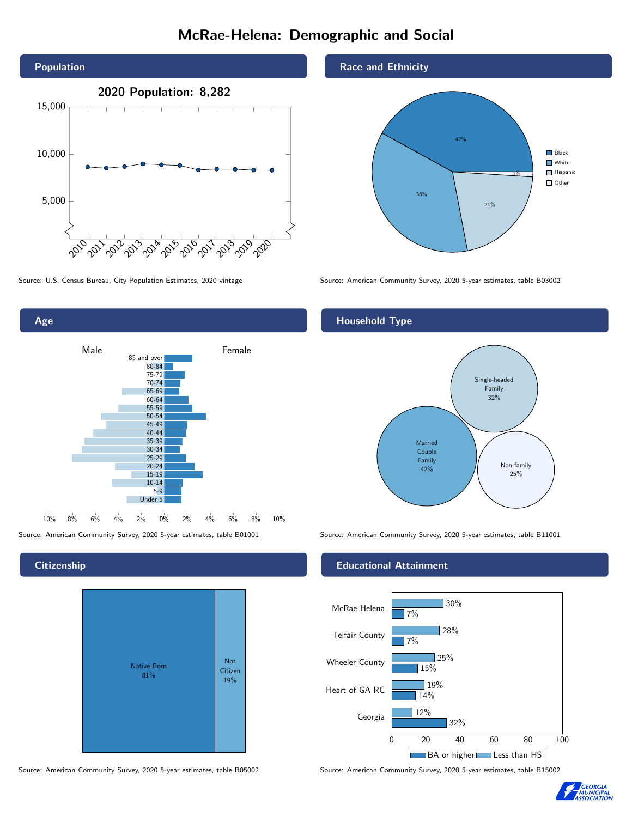# McRae-Helena: Demographic and Social



0% 2% 4% 6% 8% 10% Male **Female** 10% 8% 6% 4% 2% 85 and over 80-84 75-79 70-74 65-69 60-64 55-59 50-54 45-49 40-44 35-39 30-34 25-29 20-24 15-19 10-14 5-9 Under 5

## **Citizenship**

Age



Source: American Community Survey, 2020 5-year estimates, table B05002 Source: American Community Survey, 2020 5-year estimates, table B15002

### Race and Ethnicity



Source: U.S. Census Bureau, City Population Estimates, 2020 vintage Source: American Community Survey, 2020 5-year estimates, table B03002

## Household Type



Source: American Community Survey, 2020 5-year estimates, table B01001 Source: American Community Survey, 2020 5-year estimates, table B11001

### Educational Attainment



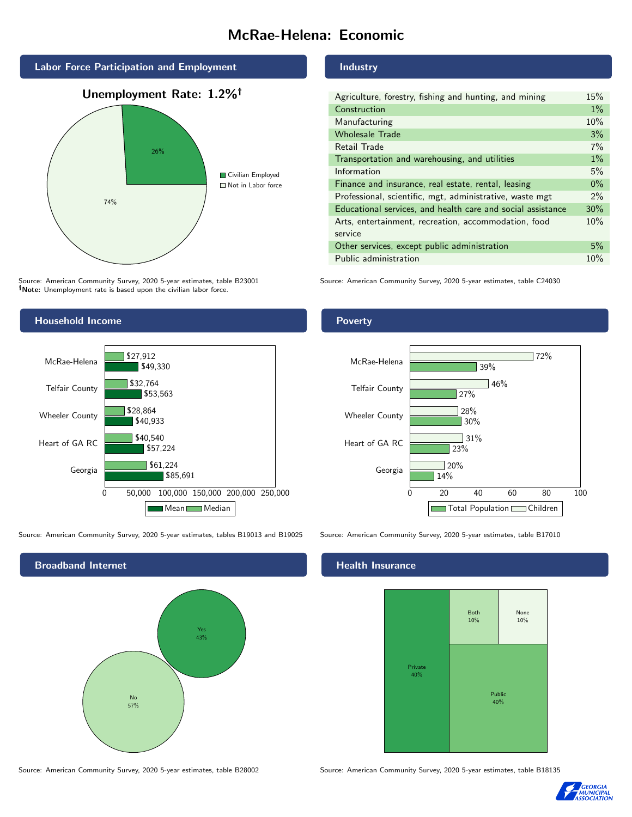# McRae-Helena: Economic



Source: American Community Survey, 2020 5-year estimates, table B23001 Note: Unemployment rate is based upon the civilian labor force.

#### Industry

| Agriculture, forestry, fishing and hunting, and mining      | 15%   |
|-------------------------------------------------------------|-------|
| Construction                                                | $1\%$ |
| Manufacturing                                               | 10%   |
| <b>Wholesale Trade</b>                                      | 3%    |
| Retail Trade                                                | 7%    |
| Transportation and warehousing, and utilities               | $1\%$ |
| Information                                                 | 5%    |
| Finance and insurance, real estate, rental, leasing         | $0\%$ |
| Professional, scientific, mgt, administrative, waste mgt    | $2\%$ |
| Educational services, and health care and social assistance | 30%   |
| Arts, entertainment, recreation, accommodation, food        | 10%   |
| service                                                     |       |
| Other services, except public administration                | 5%    |
| Public administration                                       | 10%   |

Source: American Community Survey, 2020 5-year estimates, table C24030



Source: American Community Survey, 2020 5-year estimates, tables B19013 and B19025 Source: American Community Survey, 2020 5-year estimates, table B17010



#### Health Insurance



Source: American Community Survey, 2020 5-year estimates, table B28002 Source: American Community Survey, 2020 5-year estimates, table B18135



### Poverty